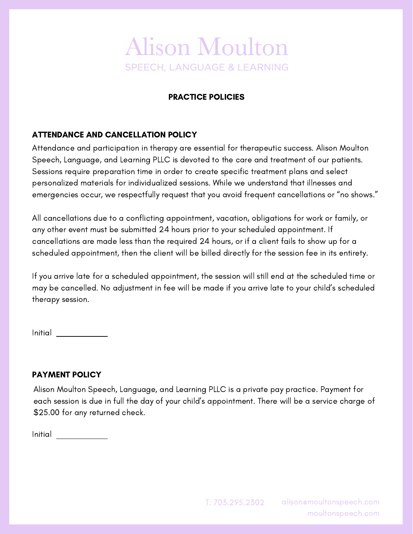# **Alison Moulton SPEECH, LANGUAGE & LEARNING**

# PRACTICE POLICIES

## ATTENDANCE AND CANCELLATION POLICY

Attendance and participation in therapy are essential for therapeutic success. Alison Moulton Speech, Language, and Learning PLLC is devoted to the care and treatment of our patients. Sessions require preparation time in order to create specific treatment plans and select personalized materials for individualized sessions. While we understand that illnesses and emergencies occur, we respectfully request that you avoid frequent cancellations or "no shows."

All cancellations due to a conflicting appointment, vacation, obligations for work or family, or any other event must be submitted 24 hours prior to your scheduled appointment. If cancellations are made less than the required 24 hours, or if a client fails to show up for a scheduled appointment, then the client will be billed directly for the session fee in its entirety.

If you arrive late for a scheduled appointment, the session will still end at the scheduled time or may be cancelled. No adjustment in fee will be made if you arrive late to your child's scheduled therapy session.

Initial

### PAYMENT POLICY

Alison Moulton Speech, Language, and Learning PLLC is a private pay practice. Payment for each session is due in full the day of your child's appointment. There will be a service charge of \$25.00 for any returned check.

Initial